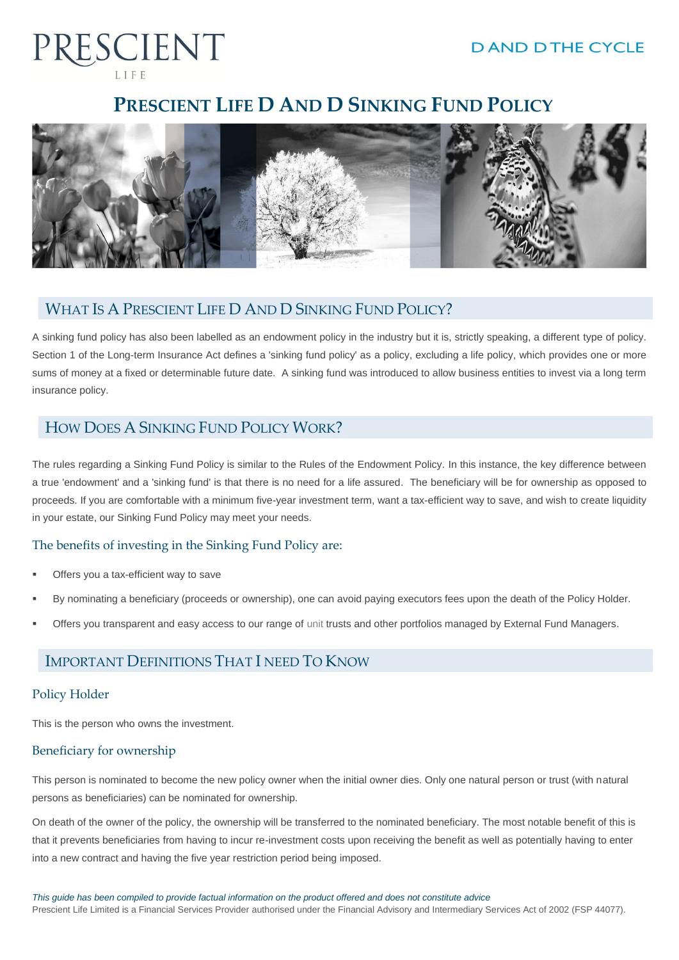

# **PRESCIENT LIFE D AND D SINKING FUND POLICY**



### WHAT IS A PRESCIENT LIFE D AND D SINKING FUND POLICY?

A sinking fund policy has also been labelled as an endowment policy in the industry but it is, strictly speaking, a different type of policy. Section 1 of the Long-term Insurance Act defines a 'sinking fund policy' as a policy, excluding a life policy, which provides one or more sums of money at a fixed or determinable future date. A sinking fund was introduced to allow business entities to invest via a long term insurance policy.

### HOW DOES A SINKING FUND POLICY WORK?

The rules regarding a Sinking Fund Policy is similar to the Rules of the Endowment Policy. In this instance, the key difference between a true 'endowment' and a 'sinking fund' is that there is no need for a life assured. The beneficiary will be for ownership as opposed to proceeds. If you are comfortable with a minimum five-year investment term, want a tax-efficient way to save, and wish to create liquidity in your estate, our Sinking Fund Policy may meet your needs.

### The benefits of investing in the Sinking Fund Policy are:

- Offers you a tax-efficient way to save
- By nominating a beneficiary (proceeds or ownership), one can avoid paying executors fees upon the death of the Policy Holder.
- Offers you transparent and easy access to our range of unit trusts and other portfolios managed by External Fund Managers.

### IMPORTANT DEFINITIONS THAT I NEED TO KNOW

### Policy Holder

This is the person who owns the investment.

#### Beneficiary for ownership

This person is nominated to become the new policy owner when the initial owner dies. Only one natural person or trust (with natural persons as beneficiaries) can be nominated for ownership.

On death of the owner of the policy, the ownership will be transferred to the nominated beneficiary. The most notable benefit of this is that it prevents beneficiaries from having to incur re-investment costs upon receiving the benefit as well as potentially having to enter into a new contract and having the five year restriction period being imposed.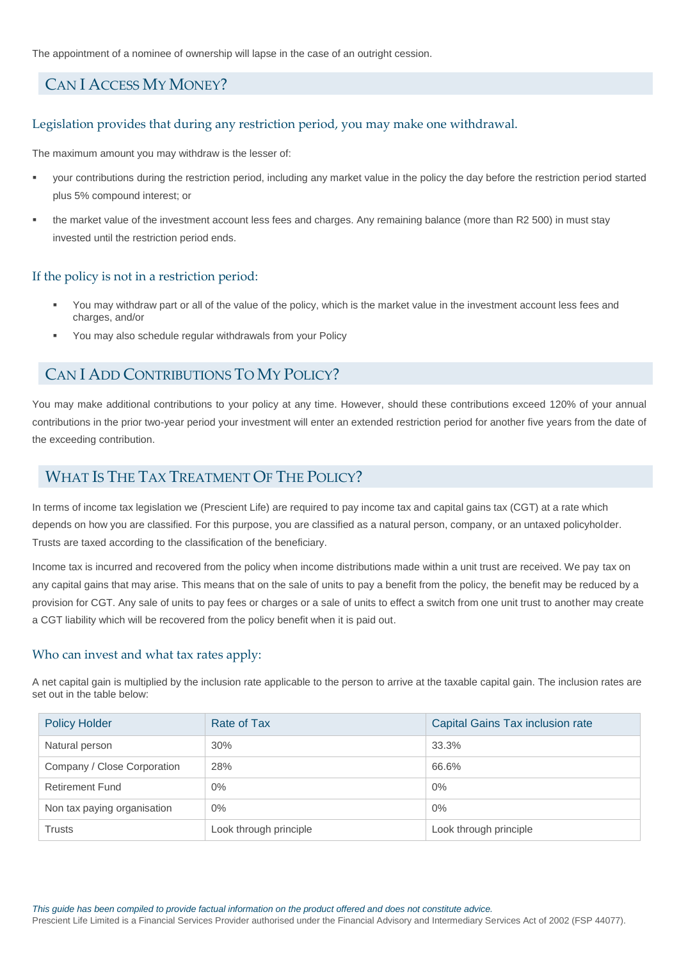The appointment of a nominee of ownership will lapse in the case of an outright cession.

### CAN I ACCESS MY MONEY?

#### Legislation provides that during any restriction period, you may make one withdrawal.

The maximum amount you may withdraw is the lesser of:

- your contributions during the restriction period, including any market value in the policy the day before the restriction period started plus 5% compound interest; or
- the market value of the investment account less fees and charges. Any remaining balance (more than R2 500) in must stay invested until the restriction period ends.

#### If the policy is not in a restriction period:

- You may withdraw part or all of the value of the policy, which is the market value in the investment account less fees and charges, and/or
- You may also schedule regular withdrawals from your Policy

### CAN I ADD CONTRIBUTIONS TO MY POLICY?

You may make additional contributions to your policy at any time. However, should these contributions exceed 120% of your annual contributions in the prior two-year period your investment will enter an extended restriction period for another five years from the date of the exceeding contribution.

### WHAT IS THE TAX TREATMENT OF THE POLICY?

In terms of income tax legislation we (Prescient Life) are required to pay income tax and capital gains tax (CGT) at a rate which depends on how you are classified. For this purpose, you are classified as a natural person, company, or an untaxed policyholder. Trusts are taxed according to the classification of the beneficiary.

Income tax is incurred and recovered from the policy when income distributions made within a unit trust are received. We pay tax on any capital gains that may arise. This means that on the sale of units to pay a benefit from the policy, the benefit may be reduced by a provision for CGT. Any sale of units to pay fees or charges or a sale of units to effect a switch from one unit trust to another may create a CGT liability which will be recovered from the policy benefit when it is paid out.

#### Who can invest and what tax rates apply:

A net capital gain is multiplied by the inclusion rate applicable to the person to arrive at the taxable capital gain. The inclusion rates are set out in the table below:

| <b>Policy Holder</b>        | Rate of Tax            | Capital Gains Tax inclusion rate |
|-----------------------------|------------------------|----------------------------------|
| Natural person              | 30%                    | 33.3%                            |
| Company / Close Corporation | 28%                    | 66.6%                            |
| <b>Retirement Fund</b>      | $0\%$                  | $0\%$                            |
| Non tax paying organisation | $0\%$                  | $0\%$                            |
| <b>Trusts</b>               | Look through principle | Look through principle           |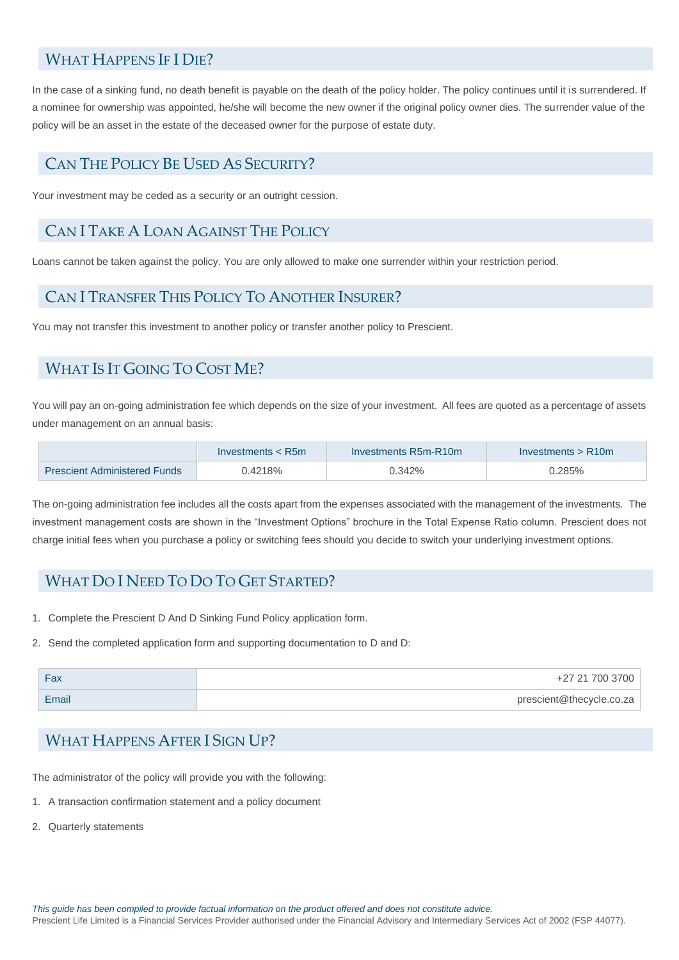# WHAT HAPPENS IF I DIE?

In the case of a sinking fund, no death benefit is payable on the death of the policy holder. The policy continues until it is surrendered. If a nominee for ownership was appointed, he/she will become the new owner if the original policy owner dies. The surrender value of the policy will be an asset in the estate of the deceased owner for the purpose of estate duty.

### CAN THE POLICY BE USED AS SECURITY?

Your investment may be ceded as a security or an outright cession.

## CAN I TAKE A LOAN AGAINST THE POLICY

Loans cannot be taken against the policy. You are only allowed to make one surrender within your restriction period.

### CAN I TRANSFER THIS POLICY TO ANOTHER INSURER?

You may not transfer this investment to another policy or transfer another policy to Prescient.

### WHAT IS IT GOING TO COST ME?

You will pay an on-going administration fee which depends on the size of your investment. All fees are quoted as a percentage of assets under management on an annual basis:

|                                     | $Investments <$ R5m | Investments R5m-R10m | Investments > R10m |
|-------------------------------------|---------------------|----------------------|--------------------|
| <b>Prescient Administered Funds</b> | 0.4218%             | ን.342%               | 0.285%             |

The on-going administration fee includes all the costs apart from the expenses associated with the management of the investments. The investment management costs are shown in the "Investment Options" brochure in the Total Expense Ratio column. Prescient does not charge initial fees when you purchase a policy or switching fees should you decide to switch your underlying investment options.

### WHAT DO I NEED TO DO TO GET STARTED?

- 1. Complete the Prescient D And D Sinking Fund Policy application form.
- 2. Send the completed application form and supporting documentation to D and D:

| Fax   | +27 21 700 3700          |
|-------|--------------------------|
| Email | prescient@thecycle.co.za |

### WHAT HAPPENS AFTER I SIGN UP?

The administrator of the policy will provide you with the following:

- 1. A transaction confirmation statement and a policy document
- 2. Quarterly statements